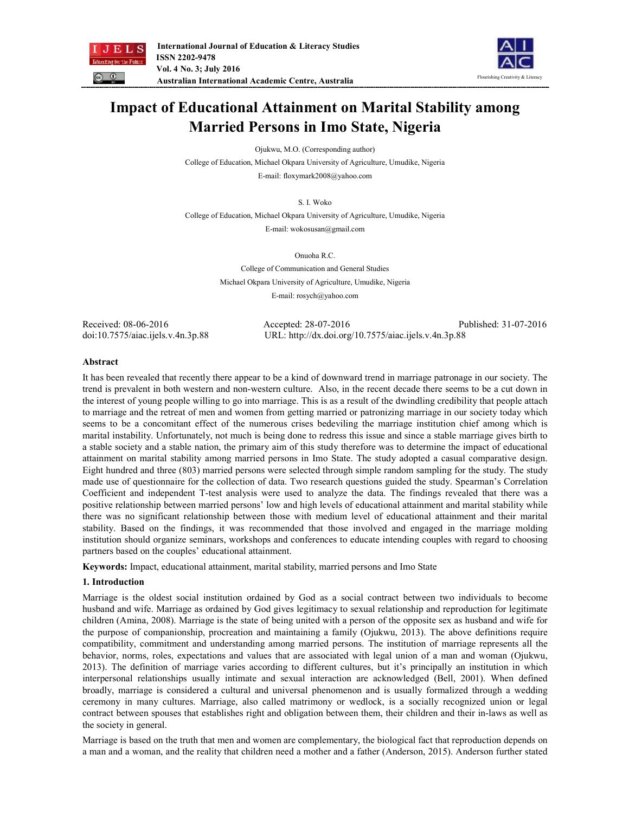



# **Impact of Educational Attainment on Marital Stability among Married Persons in Imo State, Nigeria**

Ojukwu, M.O. (Corresponding author)

College of Education, Michael Okpara University of Agriculture, Umudike, Nigeria

E-mail: floxymark2008@yahoo.com

S. I. Woko

College of Education, Michael Okpara University of Agriculture, Umudike, Nigeria E-mail: wokosusan@gmail.com

Onuoha R.C.

College of Communication and General Studies Michael Okpara University of Agriculture, Umudike, Nigeria E-mail: rosych@yahoo.com

Received: 08-06-2016 Accepted: 28-07-2016 Published: 31-07-2016 doi:10.7575/aiac.ijels.v.4n.3p.88 URL: http://dx.doi.org/10.7575/aiac.ijels.v.4n.3p.88

## **Abstract**

It has been revealed that recently there appear to be a kind of downward trend in marriage patronage in our society. The trend is prevalent in both western and non-western culture. Also, in the recent decade there seems to be a cut down in the interest of young people willing to go into marriage. This is as a result of the dwindling credibility that people attach to marriage and the retreat of men and women from getting married or patronizing marriage in our society today which seems to be a concomitant effect of the numerous crises bedeviling the marriage institution chief among which is marital instability. Unfortunately, not much is being done to redress this issue and since a stable marriage gives birth to a stable society and a stable nation, the primary aim of this study therefore was to determine the impact of educational attainment on marital stability among married persons in Imo State. The study adopted a casual comparative design. Eight hundred and three (803) married persons were selected through simple random sampling for the study. The study made use of questionnaire for the collection of data. Two research questions guided the study. Spearman's Correlation Coefficient and independent T-test analysis were used to analyze the data. The findings revealed that there was a positive relationship between married persons' low and high levels of educational attainment and marital stability while there was no significant relationship between those with medium level of educational attainment and their marital stability. Based on the findings, it was recommended that those involved and engaged in the marriage molding institution should organize seminars, workshops and conferences to educate intending couples with regard to choosing partners based on the couples' educational attainment.

**Keywords:** Impact, educational attainment, marital stability, married persons and Imo State

# **1. Introduction**

Marriage is the oldest social institution ordained by God as a social contract between two individuals to become husband and wife. Marriage as ordained by God gives legitimacy to sexual relationship and reproduction for legitimate children (Amina, 2008). Marriage is the state of being united with a person of the opposite sex as husband and wife for the purpose of companionship, procreation and maintaining a family (Ojukwu, 2013). The above definitions require compatibility, commitment and understanding among married persons. The institution of marriage represents all the behavior, norms, roles, expectations and values that are associated with legal union of a man and woman (Ojukwu, 2013). The definition of marriage varies according to different cultures, but it's principally an institution in which interpersonal relationships usually intimate and sexual interaction are acknowledged (Bell, 2001). When defined broadly, marriage is considered a cultural and universal phenomenon and is usually formalized through a wedding ceremony in many cultures. Marriage, also called matrimony or wedlock, is a socially recognized union or legal contract between spouses that establishes right and obligation between them, their children and their in-laws as well as the society in general.

Marriage is based on the truth that men and women are complementary, the biological fact that reproduction depends on a man and a woman, and the reality that children need a mother and a father (Anderson, 2015). Anderson further stated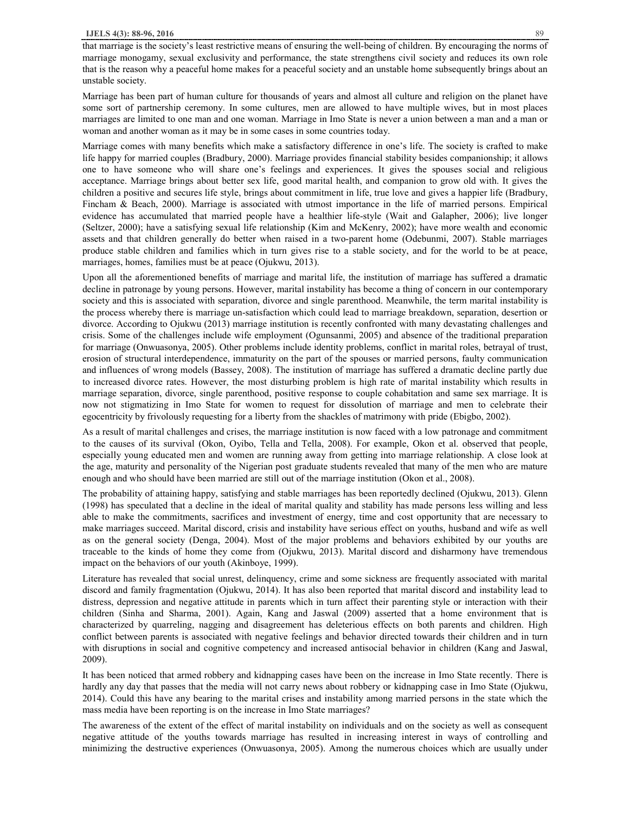that marriage is the society's least restrictive means of ensuring the well-being of children. By encouraging the norms of marriage monogamy, sexual exclusivity and performance, the state strengthens civil society and reduces its own role that is the reason why a peaceful home makes for a peaceful society and an unstable home subsequently brings about an unstable society.

Marriage has been part of human culture for thousands of years and almost all culture and religion on the planet have some sort of partnership ceremony. In some cultures, men are allowed to have multiple wives, but in most places marriages are limited to one man and one woman. Marriage in Imo State is never a union between a man and a man or woman and another woman as it may be in some cases in some countries today.

Marriage comes with many benefits which make a satisfactory difference in one's life. The society is crafted to make life happy for married couples (Bradbury, 2000). Marriage provides financial stability besides companionship; it allows one to have someone who will share one's feelings and experiences. It gives the spouses social and religious acceptance. Marriage brings about better sex life, good marital health, and companion to grow old with. It gives the children a positive and secures life style, brings about commitment in life, true love and gives a happier life (Bradbury, Fincham & Beach, 2000). Marriage is associated with utmost importance in the life of married persons. Empirical evidence has accumulated that married people have a healthier life-style (Wait and Galapher, 2006); live longer (Seltzer, 2000); have a satisfying sexual life relationship (Kim and McKenry, 2002); have more wealth and economic assets and that children generally do better when raised in a two-parent home (Odebunmi, 2007). Stable marriages produce stable children and families which in turn gives rise to a stable society, and for the world to be at peace, marriages, homes, families must be at peace (Ojukwu, 2013).

Upon all the aforementioned benefits of marriage and marital life, the institution of marriage has suffered a dramatic decline in patronage by young persons. However, marital instability has become a thing of concern in our contemporary society and this is associated with separation, divorce and single parenthood. Meanwhile, the term marital instability is the process whereby there is marriage un-satisfaction which could lead to marriage breakdown, separation, desertion or divorce. According to Ojukwu (2013) marriage institution is recently confronted with many devastating challenges and crisis. Some of the challenges include wife employment (Ogunsanmi, 2005) and absence of the traditional preparation for marriage (Onwuasonya, 2005). Other problems include identity problems, conflict in marital roles, betrayal of trust, erosion of structural interdependence, immaturity on the part of the spouses or married persons, faulty communication and influences of wrong models (Bassey, 2008). The institution of marriage has suffered a dramatic decline partly due to increased divorce rates. However, the most disturbing problem is high rate of marital instability which results in marriage separation, divorce, single parenthood, positive response to couple cohabitation and same sex marriage. It is now not stigmatizing in Imo State for women to request for dissolution of marriage and men to celebrate their egocentricity by frivolously requesting for a liberty from the shackles of matrimony with pride (Ebigbo, 2002).

As a result of marital challenges and crises, the marriage institution is now faced with a low patronage and commitment to the causes of its survival (Okon, Oyibo, Tella and Tella, 2008). For example, Okon et al. observed that people, especially young educated men and women are running away from getting into marriage relationship. A close look at the age, maturity and personality of the Nigerian post graduate students revealed that many of the men who are mature enough and who should have been married are still out of the marriage institution (Okon et al., 2008).

The probability of attaining happy, satisfying and stable marriages has been reportedly declined (Ojukwu, 2013). Glenn (1998) has speculated that a decline in the ideal of marital quality and stability has made persons less willing and less able to make the commitments, sacrifices and investment of energy, time and cost opportunity that are necessary to make marriages succeed. Marital discord, crisis and instability have serious effect on youths, husband and wife as well as on the general society (Denga, 2004). Most of the major problems and behaviors exhibited by our youths are traceable to the kinds of home they come from (Ojukwu, 2013). Marital discord and disharmony have tremendous impact on the behaviors of our youth (Akinboye, 1999).

Literature has revealed that social unrest, delinquency, crime and some sickness are frequently associated with marital discord and family fragmentation (Ojukwu, 2014). It has also been reported that marital discord and instability lead to distress, depression and negative attitude in parents which in turn affect their parenting style or interaction with their children (Sinha and Sharma, 2001). Again, Kang and Jaswal (2009) asserted that a home environment that is characterized by quarreling, nagging and disagreement has deleterious effects on both parents and children. High conflict between parents is associated with negative feelings and behavior directed towards their children and in turn with disruptions in social and cognitive competency and increased antisocial behavior in children (Kang and Jaswal, 2009).

It has been noticed that armed robbery and kidnapping cases have been on the increase in Imo State recently. There is hardly any day that passes that the media will not carry news about robbery or kidnapping case in Imo State (Ojukwu, 2014). Could this have any bearing to the marital crises and instability among married persons in the state which the mass media have been reporting is on the increase in Imo State marriages?

The awareness of the extent of the effect of marital instability on individuals and on the society as well as consequent negative attitude of the youths towards marriage has resulted in increasing interest in ways of controlling and minimizing the destructive experiences (Onwuasonya, 2005). Among the numerous choices which are usually under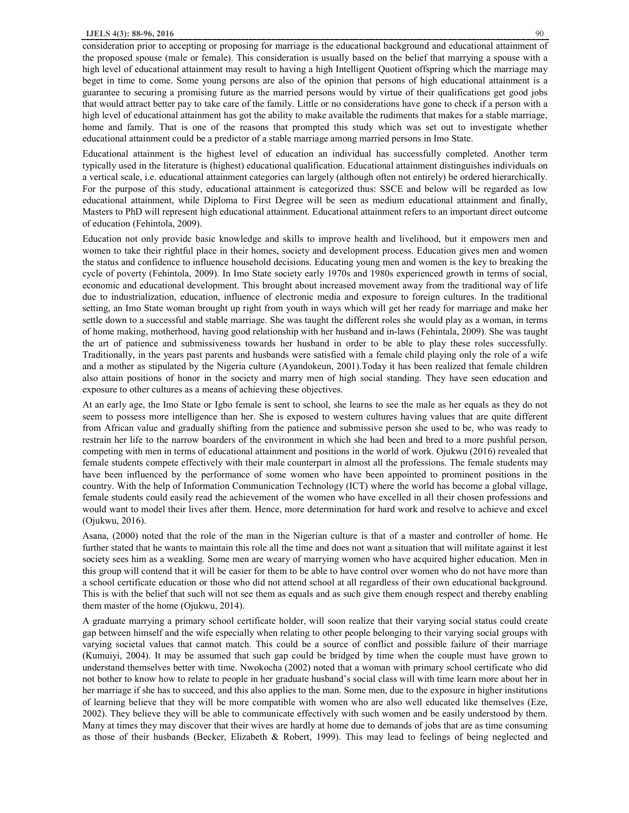consideration prior to accepting or proposing for marriage is the educational background and educational attainment of the proposed spouse (male or female). This consideration is usually based on the belief that marrying a spouse with a high level of educational attainment may result to having a high Intelligent Quotient offspring which the marriage may beget in time to come. Some young persons are also of the opinion that persons of high educational attainment is a guarantee to securing a promising future as the married persons would by virtue of their qualifications get good jobs that would attract better pay to take care of the family. Little or no considerations have gone to check if a person with a high level of educational attainment has got the ability to make available the rudiments that makes for a stable marriage, home and family. That is one of the reasons that prompted this study which was set out to investigate whether educational attainment could be a predictor of a stable marriage among married persons in Imo State.

Educational attainment is the highest level of education an individual has successfully completed. Another term typically used in the literature is (highest) educational qualification. Educational attainment distinguishes individuals on a vertical scale, i.e. educational attainment categories can largely (although often not entirely) be ordered hierarchically. For the purpose of this study, educational attainment is categorized thus: SSCE and below will be regarded as low educational attainment, while Diploma to First Degree will be seen as medium educational attainment and finally, Masters to PhD will represent high educational attainment. Educational attainment refers to an important direct outcome of education (Fehintola, 2009).

Education not only provide basic knowledge and skills to improve health and livelihood, but it empowers men and women to take their rightful place in their homes, society and development process. Education gives men and women the status and confidence to influence household decisions. Educating young men and women is the key to breaking the cycle of poverty (Fehintola, 2009). In Imo State society early 1970s and 1980s experienced growth in terms of social, economic and educational development. This brought about increased movement away from the traditional way of life due to industrialization, education, influence of electronic media and exposure to foreign cultures. In the traditional setting, an Imo State woman brought up right from youth in ways which will get her ready for marriage and make her settle down to a successful and stable marriage. She was taught the different roles she would play as a woman, in terms of home making, motherhood, having good relationship with her husband and in-laws (Fehintala, 2009). She was taught the art of patience and submissiveness towards her husband in order to be able to play these roles successfully. Traditionally, in the years past parents and husbands were satisfied with a female child playing only the role of a wife and a mother as stipulated by the Nigeria culture (Ayandokeun, 2001).Today it has been realized that female children also attain positions of honor in the society and marry men of high social standing. They have seen education and exposure to other cultures as a means of achieving these objectives.

At an early age, the Imo State or Igbo female is sent to school, she learns to see the male as her equals as they do not seem to possess more intelligence than her. She is exposed to western cultures having values that are quite different from African value and gradually shifting from the patience and submissive person she used to be, who was ready to restrain her life to the narrow boarders of the environment in which she had been and bred to a more pushful person, competing with men in terms of educational attainment and positions in the world of work. Ojukwu (2016) revealed that female students compete effectively with their male counterpart in almost all the professions. The female students may have been influenced by the performance of some women who have been appointed to prominent positions in the country. With the help of Information Communication Technology (ICT) where the world has become a global village, female students could easily read the achievement of the women who have excelled in all their chosen professions and would want to model their lives after them. Hence, more determination for hard work and resolve to achieve and excel (Ojukwu, 2016).

Asana, (2000) noted that the role of the man in the Nigerian culture is that of a master and controller of home. He further stated that he wants to maintain this role all the time and does not want a situation that will militate against it lest society sees him as a weakling. Some men are weary of marrying women who have acquired higher education. Men in this group will contend that it will be easier for them to be able to have control over women who do not have more than a school certificate education or those who did not attend school at all regardless of their own educational background. This is with the belief that such will not see them as equals and as such give them enough respect and thereby enabling them master of the home (Ojukwu, 2014).

A graduate marrying a primary school certificate holder, will soon realize that their varying social status could create gap between himself and the wife especially when relating to other people belonging to their varying social groups with varying societal values that cannot match. This could be a source of conflict and possible failure of their marriage (Kumuiyi, 2004). It may be assumed that such gap could be bridged by time when the couple must have grown to understand themselves better with time. Nwokocha (2002) noted that a woman with primary school certificate who did not bother to know how to relate to people in her graduate husband's social class will with time learn more about her in her marriage if she has to succeed, and this also applies to the man. Some men, due to the exposure in higher institutions of learning believe that they will be more compatible with women who are also well educated like themselves (Eze, 2002). They believe they will be able to communicate effectively with such women and be easily understood by them. Many at times they may discover that their wives are hardly at home due to demands of jobs that are as time consuming as those of their husbands (Becker, Elizabeth & Robert, 1999). This may lead to feelings of being neglected and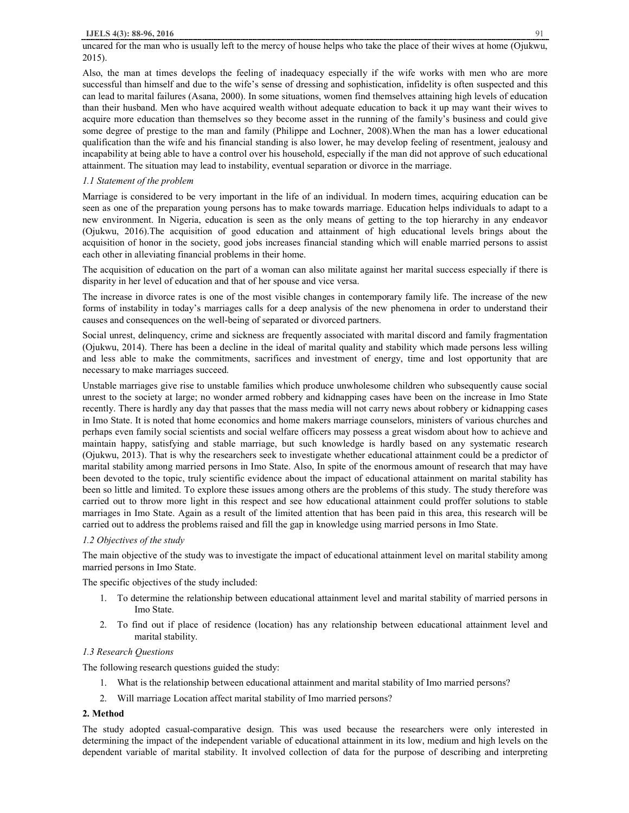uncared for the man who is usually left to the mercy of house helps who take the place of their wives at home (Ojukwu, 2015).

Also, the man at times develops the feeling of inadequacy especially if the wife works with men who are more successful than himself and due to the wife's sense of dressing and sophistication, infidelity is often suspected and this can lead to marital failures (Asana, 2000). In some situations, women find themselves attaining high levels of education than their husband. Men who have acquired wealth without adequate education to back it up may want their wives to acquire more education than themselves so they become asset in the running of the family's business and could give some degree of prestige to the man and family (Philippe and Lochner, 2008).When the man has a lower educational qualification than the wife and his financial standing is also lower, he may develop feeling of resentment, jealousy and incapability at being able to have a control over his household, especially if the man did not approve of such educational attainment. The situation may lead to instability, eventual separation or divorce in the marriage.

## *1.1 Statement of the problem*

Marriage is considered to be very important in the life of an individual. In modern times, acquiring education can be seen as one of the preparation young persons has to make towards marriage. Education helps individuals to adapt to a new environment. In Nigeria, education is seen as the only means of getting to the top hierarchy in any endeavor (Ojukwu, 2016).The acquisition of good education and attainment of high educational levels brings about the acquisition of honor in the society, good jobs increases financial standing which will enable married persons to assist each other in alleviating financial problems in their home.

The acquisition of education on the part of a woman can also militate against her marital success especially if there is disparity in her level of education and that of her spouse and vice versa.

The increase in divorce rates is one of the most visible changes in contemporary family life. The increase of the new forms of instability in today's marriages calls for a deep analysis of the new phenomena in order to understand their causes and consequences on the well-being of separated or divorced partners.

Social unrest, delinquency, crime and sickness are frequently associated with marital discord and family fragmentation (Ojukwu, 2014). There has been a decline in the ideal of marital quality and stability which made persons less willing and less able to make the commitments, sacrifices and investment of energy, time and lost opportunity that are necessary to make marriages succeed.

Unstable marriages give rise to unstable families which produce unwholesome children who subsequently cause social unrest to the society at large; no wonder armed robbery and kidnapping cases have been on the increase in Imo State recently. There is hardly any day that passes that the mass media will not carry news about robbery or kidnapping cases in Imo State. It is noted that home economics and home makers marriage counselors, ministers of various churches and perhaps even family social scientists and social welfare officers may possess a great wisdom about how to achieve and maintain happy, satisfying and stable marriage, but such knowledge is hardly based on any systematic research (Ojukwu, 2013). That is why the researchers seek to investigate whether educational attainment could be a predictor of marital stability among married persons in Imo State. Also, In spite of the enormous amount of research that may have been devoted to the topic, truly scientific evidence about the impact of educational attainment on marital stability has been so little and limited. To explore these issues among others are the problems of this study. The study therefore was carried out to throw more light in this respect and see how educational attainment could proffer solutions to stable marriages in Imo State. Again as a result of the limited attention that has been paid in this area, this research will be carried out to address the problems raised and fill the gap in knowledge using married persons in Imo State.

## *1.2 Objectives of the study*

The main objective of the study was to investigate the impact of educational attainment level on marital stability among married persons in Imo State.

The specific objectives of the study included:

- 1. To determine the relationship between educational attainment level and marital stability of married persons in Imo State.
- 2. To find out if place of residence (location) has any relationship between educational attainment level and marital stability.

## *1.3 Research Questions*

The following research questions guided the study:

- 1. What is the relationship between educational attainment and marital stability of Imo married persons?
- 2. Will marriage Location affect marital stability of Imo married persons?

# **2. Method**

The study adopted casual-comparative design. This was used because the researchers were only interested in determining the impact of the independent variable of educational attainment in its low, medium and high levels on the dependent variable of marital stability. It involved collection of data for the purpose of describing and interpreting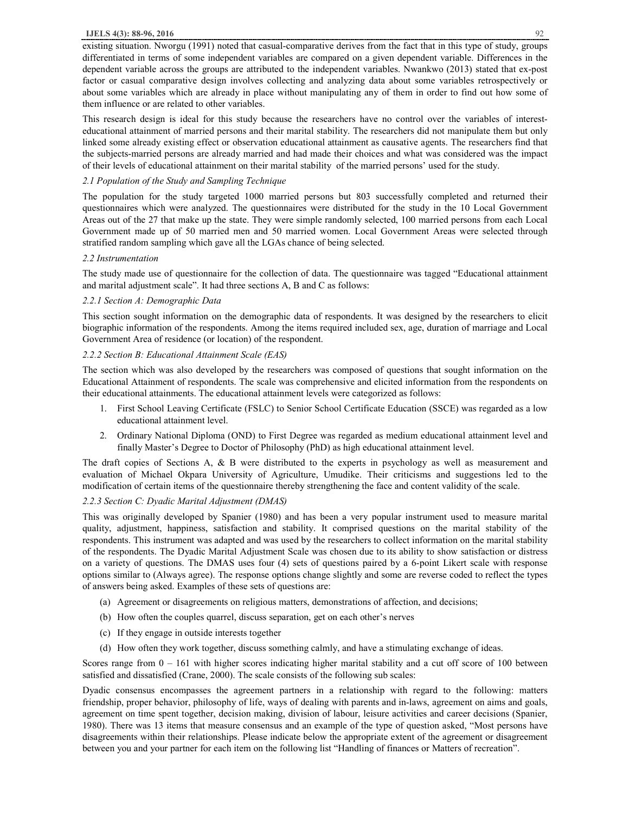#### **IJELS 4(3): 88-96, 2016** 92

existing situation. Nworgu (1991) noted that casual-comparative derives from the fact that in this type of study, groups differentiated in terms of some independent variables are compared on a given dependent variable. Differences in the dependent variable across the groups are attributed to the independent variables. Nwankwo (2013) stated that ex-post factor or casual comparative design involves collecting and analyzing data about some variables retrospectively or about some variables which are already in place without manipulating any of them in order to find out how some of them influence or are related to other variables.

This research design is ideal for this study because the researchers have no control over the variables of interesteducational attainment of married persons and their marital stability. The researchers did not manipulate them but only linked some already existing effect or observation educational attainment as causative agents. The researchers find that the subjects-married persons are already married and had made their choices and what was considered was the impact of their levels of educational attainment on their marital stability of the married persons' used for the study.

## *2.1 Population of the Study and Sampling Technique*

The population for the study targeted 1000 married persons but 803 successfully completed and returned their questionnaires which were analyzed. The questionnaires were distributed for the study in the 10 Local Government Areas out of the 27 that make up the state. They were simple randomly selected, 100 married persons from each Local Government made up of 50 married men and 50 married women. Local Government Areas were selected through stratified random sampling which gave all the LGAs chance of being selected.

## *2.2 Instrumentation*

The study made use of questionnaire for the collection of data. The questionnaire was tagged "Educational attainment and marital adjustment scale". It had three sections A, B and C as follows:

## *2.2.1 Section A: Demographic Data*

This section sought information on the demographic data of respondents. It was designed by the researchers to elicit biographic information of the respondents. Among the items required included sex, age, duration of marriage and Local Government Area of residence (or location) of the respondent.

## *2.2.2 Section B: Educational Attainment Scale (EAS)*

The section which was also developed by the researchers was composed of questions that sought information on the Educational Attainment of respondents. The scale was comprehensive and elicited information from the respondents on their educational attainments. The educational attainment levels were categorized as follows:

- 1. First School Leaving Certificate (FSLC) to Senior School Certificate Education (SSCE) was regarded as a low educational attainment level.
- 2. Ordinary National Diploma (OND) to First Degree was regarded as medium educational attainment level and finally Master's Degree to Doctor of Philosophy (PhD) as high educational attainment level.

The draft copies of Sections A, & B were distributed to the experts in psychology as well as measurement and evaluation of Michael Okpara University of Agriculture, Umudike. Their criticisms and suggestions led to the modification of certain items of the questionnaire thereby strengthening the face and content validity of the scale.

## *2.2.3 Section C: Dyadic Marital Adjustment (DMAS)*

This was originally developed by Spanier (1980) and has been a very popular instrument used to measure marital quality, adjustment, happiness, satisfaction and stability. It comprised questions on the marital stability of the respondents. This instrument was adapted and was used by the researchers to collect information on the marital stability of the respondents. The Dyadic Marital Adjustment Scale was chosen due to its ability to show satisfaction or distress on a variety of questions. The DMAS uses four (4) sets of questions paired by a 6-point Likert scale with response options similar to (Always agree). The response options change slightly and some are reverse coded to reflect the types of answers being asked. Examples of these sets of questions are:

- (a) Agreement or disagreements on religious matters, demonstrations of affection, and decisions;
- (b) How often the couples quarrel, discuss separation, get on each other's nerves
- (c) If they engage in outside interests together
- (d) How often they work together, discuss something calmly, and have a stimulating exchange of ideas.

Scores range from  $0 - 161$  with higher scores indicating higher marital stability and a cut off score of 100 between satisfied and dissatisfied (Crane, 2000). The scale consists of the following sub scales:

Dyadic consensus encompasses the agreement partners in a relationship with regard to the following: matters friendship, proper behavior, philosophy of life, ways of dealing with parents and in-laws, agreement on aims and goals, agreement on time spent together, decision making, division of labour, leisure activities and career decisions (Spanier, 1980). There was 13 items that measure consensus and an example of the type of question asked, "Most persons have disagreements within their relationships. Please indicate below the appropriate extent of the agreement or disagreement between you and your partner for each item on the following list "Handling of finances or Matters of recreation".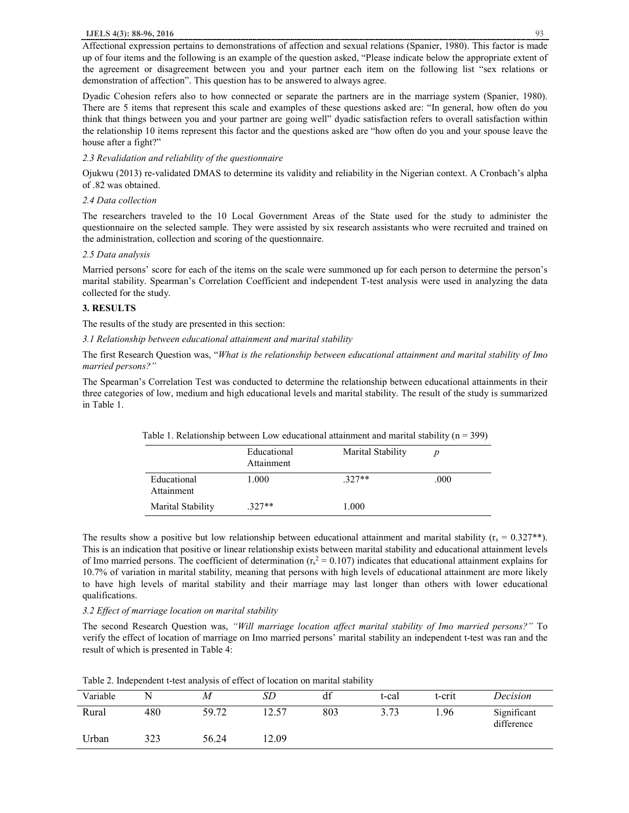Affectional expression pertains to demonstrations of affection and sexual relations (Spanier, 1980). This factor is made up of four items and the following is an example of the question asked, "Please indicate below the appropriate extent of the agreement or disagreement between you and your partner each item on the following list "sex relations or demonstration of affection". This question has to be answered to always agree.

Dyadic Cohesion refers also to how connected or separate the partners are in the marriage system (Spanier, 1980). There are 5 items that represent this scale and examples of these questions asked are: "In general, how often do you think that things between you and your partner are going well" dyadic satisfaction refers to overall satisfaction within the relationship 10 items represent this factor and the questions asked are "how often do you and your spouse leave the house after a fight?"

## *2.3 Revalidation and reliability of the questionnaire*

Ojukwu (2013) re-validated DMAS to determine its validity and reliability in the Nigerian context. A Cronbach's alpha of .82 was obtained.

#### *2.4 Data collection*

The researchers traveled to the 10 Local Government Areas of the State used for the study to administer the questionnaire on the selected sample. They were assisted by six research assistants who were recruited and trained on the administration, collection and scoring of the questionnaire.

#### *2.5 Data analysis*

Married persons' score for each of the items on the scale were summoned up for each person to determine the person's marital stability. Spearman's Correlation Coefficient and independent T-test analysis were used in analyzing the data collected for the study.

#### **3. RESULTS**

The results of the study are presented in this section:

*3.1 Relationship between educational attainment and marital stability* 

The first Research Question was, "*What is the relationship between educational attainment and marital stability of Imo married persons?"* 

The Spearman's Correlation Test was conducted to determine the relationship between educational attainments in their three categories of low, medium and high educational levels and marital stability. The result of the study is summarized in Table 1.

|                           | Educational<br>Attainment | Marital Stability | D    |
|---------------------------|---------------------------|-------------------|------|
| Educational<br>Attainment | 1.000                     | $.327**$          | .000 |
| Marital Stability         | $.327**$                  | 1.000             |      |

Table 1. Relationship between Low educational attainment and marital stability ( $n = 399$ )

The results show a positive but low relationship between educational attainment and marital stability ( $r_s = 0.327**$ ). This is an indication that positive or linear relationship exists between marital stability and educational attainment levels of Imo married persons. The coefficient of determination  $(r_s^2 = 0.107)$  indicates that educational attainment explains for 10.7% of variation in marital stability, meaning that persons with high levels of educational attainment are more likely to have high levels of marital stability and their marriage may last longer than others with lower educational qualifications.

## *3.2 Effect of marriage location on marital stability*

The second Research Question was, *"Will marriage location affect marital stability of Imo married persons?"* To verify the effect of location of marriage on Imo married persons' marital stability an independent t-test was ran and the result of which is presented in Table 4:

| Variable |     | М     | SE   | df  | t-cal | t-crit          | Decision                  |
|----------|-----|-------|------|-----|-------|-----------------|---------------------------|
| Rural    | 480 | 59.72 |      | 803 | 3.73  | <sup>1.96</sup> | Significant<br>difference |
| Urban    | 323 | 56.24 | 2.09 |     |       |                 |                           |

Table 2. Independent t-test analysis of effect of location on marital stability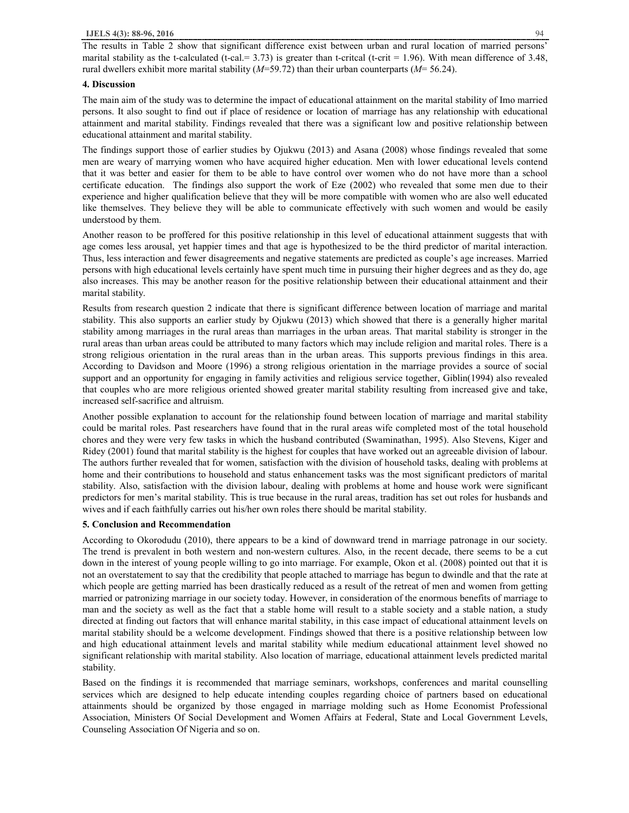The results in Table 2 show that significant difference exist between urban and rural location of married persons' marital stability as the t-calculated (t-cal.  $= 3.73$ ) is greater than t-critcal (t-crit  $= 1.96$ ). With mean difference of 3.48, rural dwellers exhibit more marital stability (*M*=59.72) than their urban counterparts (*M*= 56.24).

## **4. Discussion**

The main aim of the study was to determine the impact of educational attainment on the marital stability of Imo married persons. It also sought to find out if place of residence or location of marriage has any relationship with educational attainment and marital stability. Findings revealed that there was a significant low and positive relationship between educational attainment and marital stability.

The findings support those of earlier studies by Ojukwu (2013) and Asana (2008) whose findings revealed that some men are weary of marrying women who have acquired higher education. Men with lower educational levels contend that it was better and easier for them to be able to have control over women who do not have more than a school certificate education. The findings also support the work of Eze (2002) who revealed that some men due to their experience and higher qualification believe that they will be more compatible with women who are also well educated like themselves. They believe they will be able to communicate effectively with such women and would be easily understood by them.

Another reason to be proffered for this positive relationship in this level of educational attainment suggests that with age comes less arousal, yet happier times and that age is hypothesized to be the third predictor of marital interaction. Thus, less interaction and fewer disagreements and negative statements are predicted as couple's age increases. Married persons with high educational levels certainly have spent much time in pursuing their higher degrees and as they do, age also increases. This may be another reason for the positive relationship between their educational attainment and their marital stability.

Results from research question 2 indicate that there is significant difference between location of marriage and marital stability. This also supports an earlier study by Ojukwu (2013) which showed that there is a generally higher marital stability among marriages in the rural areas than marriages in the urban areas. That marital stability is stronger in the rural areas than urban areas could be attributed to many factors which may include religion and marital roles. There is a strong religious orientation in the rural areas than in the urban areas. This supports previous findings in this area. According to Davidson and Moore (1996) a strong religious orientation in the marriage provides a source of social support and an opportunity for engaging in family activities and religious service together, Giblin(1994) also revealed that couples who are more religious oriented showed greater marital stability resulting from increased give and take, increased self-sacrifice and altruism.

Another possible explanation to account for the relationship found between location of marriage and marital stability could be marital roles. Past researchers have found that in the rural areas wife completed most of the total household chores and they were very few tasks in which the husband contributed (Swaminathan, 1995). Also Stevens, Kiger and Ridey (2001) found that marital stability is the highest for couples that have worked out an agreeable division of labour. The authors further revealed that for women, satisfaction with the division of household tasks, dealing with problems at home and their contributions to household and status enhancement tasks was the most significant predictors of marital stability. Also, satisfaction with the division labour, dealing with problems at home and house work were significant predictors for men's marital stability. This is true because in the rural areas, tradition has set out roles for husbands and wives and if each faithfully carries out his/her own roles there should be marital stability.

# **5. Conclusion and Recommendation**

According to Okorodudu (2010), there appears to be a kind of downward trend in marriage patronage in our society. The trend is prevalent in both western and non-western cultures. Also, in the recent decade, there seems to be a cut down in the interest of young people willing to go into marriage. For example, Okon et al. (2008) pointed out that it is not an overstatement to say that the credibility that people attached to marriage has begun to dwindle and that the rate at which people are getting married has been drastically reduced as a result of the retreat of men and women from getting married or patronizing marriage in our society today. However, in consideration of the enormous benefits of marriage to man and the society as well as the fact that a stable home will result to a stable society and a stable nation, a study directed at finding out factors that will enhance marital stability, in this case impact of educational attainment levels on marital stability should be a welcome development. Findings showed that there is a positive relationship between low and high educational attainment levels and marital stability while medium educational attainment level showed no significant relationship with marital stability. Also location of marriage, educational attainment levels predicted marital stability.

Based on the findings it is recommended that marriage seminars, workshops, conferences and marital counselling services which are designed to help educate intending couples regarding choice of partners based on educational attainments should be organized by those engaged in marriage molding such as Home Economist Professional Association, Ministers Of Social Development and Women Affairs at Federal, State and Local Government Levels, Counseling Association Of Nigeria and so on.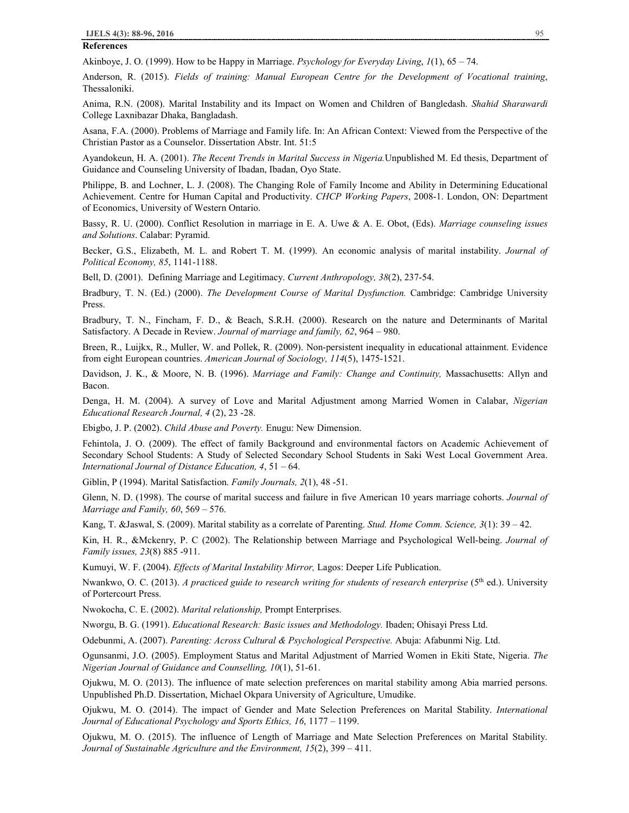**References** 

Akinboye, J. O. (1999). How to be Happy in Marriage. *Psychology for Everyday Living*, *1*(1), 65 – 74.

Anderson, R. (2015). *Fields of training: Manual European Centre for the Development of Vocational training*, Thessaloniki.

Anima, R.N. (2008). Marital Instability and its Impact on Women and Children of Bangledash. *Shahid Sharawardi* College Laxnibazar Dhaka, Bangladash.

Asana, F.A. (2000). Problems of Marriage and Family life. In: An African Context: Viewed from the Perspective of the Christian Pastor as a Counselor. Dissertation Abstr. Int. 51:5

Ayandokeun, H. A. (2001). *The Recent Trends in Marital Success in Nigeria.*Unpublished M. Ed thesis, Department of Guidance and Counseling University of Ibadan, Ibadan, Oyo State.

Philippe, B. and Lochner, L. J. (2008). The Changing Role of Family Income and Ability in Determining Educational Achievement. Centre for Human Capital and Productivity. *CHCP Working Papers*, 2008-1. London, ON: Department of Economics, University of Western Ontario.

Bassy, R. U. (2000). Conflict Resolution in marriage in E. A. Uwe & A. E. Obot, (Eds). *Marriage counseling issues and Solutions*. Calabar: Pyramid.

Becker, G.S., Elizabeth, M. L. and Robert T. M. (1999). An economic analysis of marital instability. *Journal of Political Economy, 85*, 1141-1188.

Bell, D. (2001). Defining Marriage and Legitimacy. *Current Anthropology, 38*(2), 237-54.

Bradbury, T. N. (Ed.) (2000). *The Development Course of Marital Dysfunction.* Cambridge: Cambridge University Press.

Bradbury, T. N., Fincham, F. D., & Beach, S.R.H. (2000). Research on the nature and Determinants of Marital Satisfactory. A Decade in Review. *Journal of marriage and family, 62*, 964 – 980.

Breen, R., Luijkx, R., Muller, W. and Pollek, R. (2009). Non-persistent inequality in educational attainment. Evidence from eight European countries. *American Journal of Sociology, 114*(5), 1475-1521.

Davidson, J. K., & Moore, N. B. (1996). *Marriage and Family: Change and Continuity,* Massachusetts: Allyn and Bacon.

Denga, H. M. (2004). A survey of Love and Marital Adjustment among Married Women in Calabar, *Nigerian Educational Research Journal, 4* (2), 23 -28.

Ebigbo, J. P. (2002). *Child Abuse and Poverty.* Enugu: New Dimension.

Fehintola, J. O. (2009). The effect of family Background and environmental factors on Academic Achievement of Secondary School Students: A Study of Selected Secondary School Students in Saki West Local Government Area. *International Journal of Distance Education, 4*, 51 – 64.

Giblin, P (1994). Marital Satisfaction. *Family Journals, 2*(1), 48 -51.

Glenn, N. D. (1998). The course of marital success and failure in five American 10 years marriage cohorts. *Journal of Marriage and Family, 60*, 569 – 576.

Kang, T. &Jaswal, S. (2009). Marital stability as a correlate of Parenting. *Stud. Home Comm. Science, 3*(1): 39 – 42.

Kin, H. R., &Mckenry, P. C (2002). The Relationship between Marriage and Psychological Well-being. *Journal of Family issues, 23*(8) 885 -911.

Kumuyi, W. F. (2004). *Effects of Marital Instability Mirror,* Lagos: Deeper Life Publication.

Nwankwo, O. C. (2013). *A practiced guide to research writing for students of research enterprise* (5th ed.). University of Portercourt Press.

Nwokocha, C. E. (2002). *Marital relationship,* Prompt Enterprises.

Nworgu, B. G. (1991). *Educational Research: Basic issues and Methodology.* Ibaden; Ohisayi Press Ltd.

Odebunmi, A. (2007). *Parenting: Across Cultural & Psychological Perspective.* Abuja: Afabunmi Nig. Ltd.

Ogunsanmi, J.O. (2005). Employment Status and Marital Adjustment of Married Women in Ekiti State, Nigeria. *The Nigerian Journal of Guidance and Counselling, 10*(1), 51-61.

Ojukwu, M. O. (2013). The influence of mate selection preferences on marital stability among Abia married persons. Unpublished Ph.D. Dissertation, Michael Okpara University of Agriculture, Umudike.

Ojukwu, M. O. (2014). The impact of Gender and Mate Selection Preferences on Marital Stability. *International Journal of Educational Psychology and Sports Ethics, 16*, 1177 – 1199.

Ojukwu, M. O. (2015). The influence of Length of Marriage and Mate Selection Preferences on Marital Stability. *Journal of Sustainable Agriculture and the Environment, 15*(2), 399 – 411.